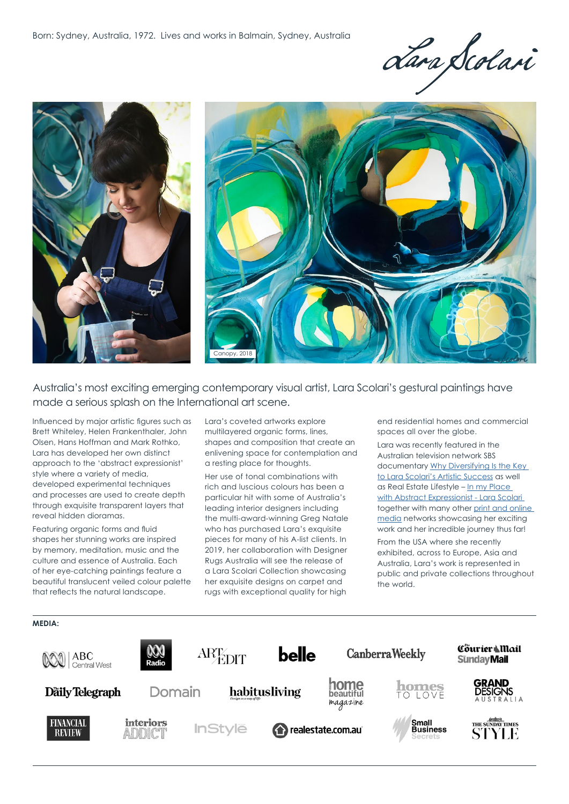Lara Scolari



Australia's most exciting emerging contemporary visual artist, Lara Scolari's gestural paintings have made a serious splash on the International art scene.

Influenced by major artistic figures such as Brett Whiteley, Helen Frankenthaler, John Olsen, Hans Hoffman and Mark Rothko, Lara has developed her own distinct approach to the 'abstract expressionist' style where a variety of media, developed experimental techniques and processes are used to create depth through exquisite transparent layers that reveal hidden dioramas.

Featuring organic forms and fluid shapes her stunning works are inspired by memory, meditation, music and the culture and essence of Australia. Each of her eye-catching paintings feature a beautiful translucent veiled colour palette that reflects the natural landscape.

Lara's coveted artworks explore multilayered organic forms, lines, shapes and composition that create an enlivening space for contemplation and a resting place for thoughts.

Her use of tonal combinations with rich and luscious colours has been a particular hit with some of Australia's leading interior designers including the multi-award-winning Greg Natale who has purchased Lara's exquisite pieces for many of his A-list clients. In 2019, her collaboration with Designer Rugs Australia will see the release of a Lara Scolari Collection showcasing her exquisite designs on carpet and rugs with exceptional quality for high

end residential homes and commercial spaces all over the globe.

Lara was recently featured in the Australian television network SBS documentary [Why Diversifying Is the Key](https://www.sbs.com.au/ondemand/video/1320177219549/bizsecrets-lara-scolari)  [to Lara Scolari's Artistic Success](https://www.sbs.com.au/ondemand/video/1320177219549/bizsecrets-lara-scolari) as well as Real Estate Lifestyle – [In my Place](https://www.realestate.com.au/lifestyle/in-my-place-with-abstract-artist-lara-scolari/)  [with Abstract Expressionist - Lara Scolari](https://www.realestate.com.au/lifestyle/in-my-place-with-abstract-artist-lara-scolari/)  together with many other [print and online](https://www.larascolari.com/about/media/)  [media](https://www.larascolari.com/about/media/) networks showcasing her exciting work and her incredible journey thus far!

From the USA where she recently exhibited, across to Europe, Asia and Australia, Lara's work is represented in public and private collections throughout the world.

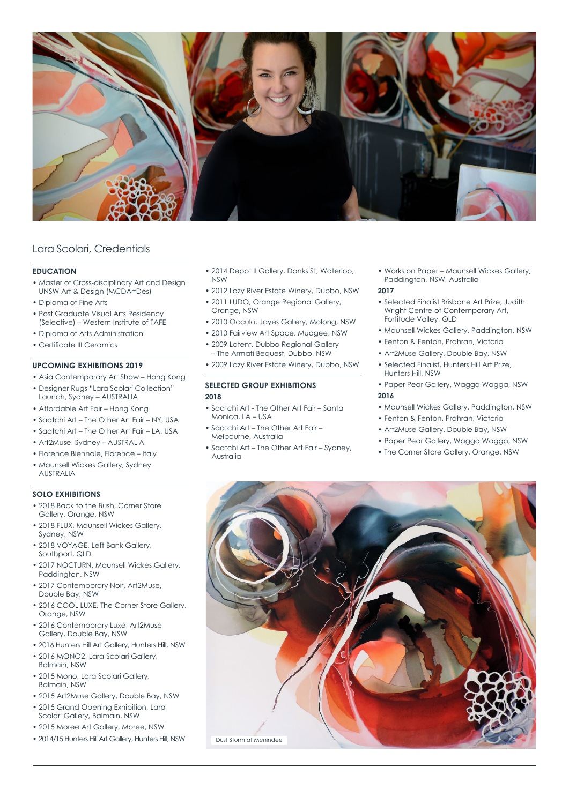

# Lara Scolari, Credentials

### **EDUCATION**

- Master of Cross-disciplinary Art and Design UNSW Art & Design (MCDArtDes)
- Diploma of Fine Arts
- Post Graduate Visual Arts Residency (Selective) – Western Institute of TAFE
- Diploma of Arts Administration
- Certificate III Ceramics

# **UPCOMING EXHIBITIONS 2019**

- Asia Contemporary Art Show Hong Kong
- Designer Rugs "Lara Scolari Collection" Launch, Sydney – AUSTRALIA
- Affordable Art Fair Hong Kong
- Saatchi Art The Other Art Fair NY, USA
- Saatchi Art The Other Art Fair LA, USA
- Art2Muse, Sydney AUSTRALIA
- Florence Biennale, Florence Italy
- Maunsell Wickes Gallery, Sydney AUSTRALIA

# **SOLO EXHIBITIONS**

- 2018 Back to the Bush, Corner Store Gallery, Orange, NSW
- 2018 FLUX, Maunsell Wickes Gallery, Sydney, NSW
- 2018 VOYAGE, Left Bank Gallery, Southport, QLD
- 2017 NOCTURN, Maunsell Wickes Gallery, Paddington, NSW
- 2017 Contemporary Noir, Art2Muse, Double Bay, NSW
- 2016 COOL LUXE, The Corner Store Gallery, Orange, NSW
- 2016 Contemporary Luxe, Art2Muse Gallery, Double Bay, NSW
- 2016 Hunters Hill Art Gallery, Hunters Hill, NSW
- 2016 MONO2, Lara Scolari Gallery, Balmain, NSW
- 2015 Mono, Lara Scolari Gallery, Balmain, NSW
- 2015 Art2Muse Gallery, Double Bay, NSW
- 2015 Grand Opening Exhibition, Lara Scolari Gallery, Balmain, NSW
- 2015 Moree Art Gallery, Moree, NSW
- 2014/15 Hunters Hill Art Gallery, Hunters Hill, NSW
- 2014 Depot II Gallery, Danks St, Waterloo, NSW
- 2012 Lazy River Estate Winery, Dubbo, NSW
- 2011 LUDO, Orange Regional Gallery, Orange, NSW
- 2010 Occulo, Jayes Gallery, Molong, NSW
- 2010 Fairview Art Space, Mudgee, NSW
- 2009 Latent, Dubbo Regional Gallery
- The Armati Bequest, Dubbo, NSW
- 2009 Lazy River Estate Winery, Dubbo, NSW

# **SELECTED GROUP EXHIBITIONS 2018**

- Saatchi Art The Other Art Fair Santa Monica, LA – USA
- Saatchi Art The Other Art Fair Melbourne, Australia
- Saatchi Art The Other Art Fair Sydney, Australia

• Works on Paper – Maunsell Wickes Gallery, Paddington, NSW, Australia

### **2017**

- Selected Finalist Brisbane Art Prize, Judith Wright Centre of Contemporary Art, Fortitude Valley, QLD
- Maunsell Wickes Gallery, Paddington, NSW
- Fenton & Fenton, Prahran, Victoria
- Art2Muse Gallery, Double Bay, NSW
- Selected Finalist, Hunters Hill Art Prize, Hunters Hill, NSW
- Paper Pear Gallery, Wagga Wagga, NSW **2016**
- Maunsell Wickes Gallery, Paddington, NSW
- Fenton & Fenton, Prahran, Victoria
- Art2Muse Gallery, Double Bay, NSW
- Paper Pear Gallery, Wagga Wagga, NSW
- The Corner Store Gallery, Orange, NSW